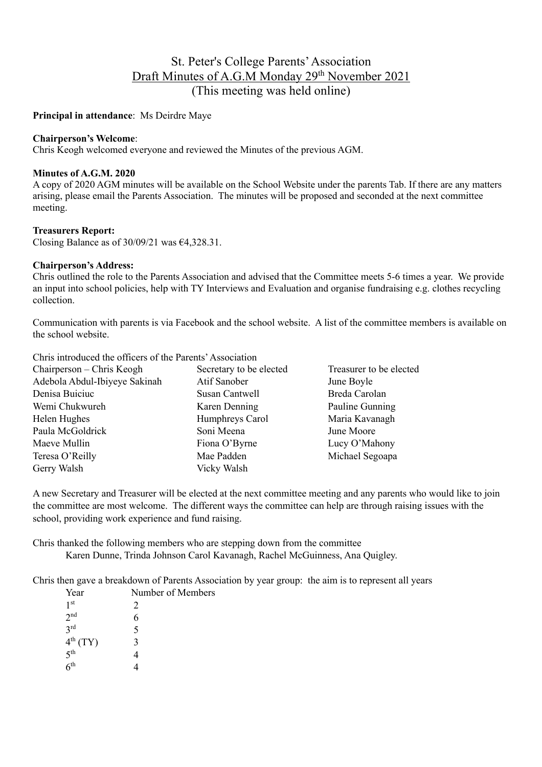# St. Peter's College Parents' Association Draft Minutes of A.G.M Monday 29<sup>th</sup> November 2021 (This meeting was held online)

### **Principal in attendance**: Ms Deirdre Maye

#### **Chairperson's Welcome**:

Chris Keogh welcomed everyone and reviewed the Minutes of the previous AGM.

#### **Minutes of A.G.M. 2020**

A copy of 2020 AGM minutes will be available on the School Website under the parents Tab. If there are any matters arising, please email the Parents Association. The minutes will be proposed and seconded at the next committee meeting.

#### **Treasurers Report:**

Closing Balance as of  $30/09/21$  was  $64,328.31$ .

#### **Chairperson's Address:**

Chris outlined the role to the Parents Association and advised that the Committee meets 5-6 times a year. We provide an input into school policies, help with TY Interviews and Evaluation and organise fundraising e.g. clothes recycling collection.

Communication with parents is via Facebook and the school website. A list of the committee members is available on the school website.

| Chris introduced the officers of the Parents' Association |                         |                         |
|-----------------------------------------------------------|-------------------------|-------------------------|
| Chairperson – Chris Keogh                                 | Secretary to be elected | Treasurer to be elected |
| Adebola Abdul-Ibiyeye Sakinah                             | Atif Sanober            | June Boyle              |
| Denisa Buiciuc                                            | Susan Cantwell          | Breda Carolan           |
| Wemi Chukwureh                                            | Karen Denning           | Pauline Gunning         |
| Helen Hughes                                              | Humphreys Carol         | Maria Kavanagh          |
| Paula McGoldrick                                          | Soni Meena              | June Moore              |
| Maeve Mullin                                              | Fiona O'Byrne           | Lucy O'Mahony           |
| Teresa O'Reilly                                           | Mae Padden              | Michael Segoapa         |
| Gerry Walsh                                               | Vicky Walsh             |                         |

A new Secretary and Treasurer will be elected at the next committee meeting and any parents who would like to join the committee are most welcome. The different ways the committee can help are through raising issues with the school, providing work experience and fund raising.

Chris thanked the following members who are stepping down from the committee Karen Dunne, Trinda Johnson Carol Kavanagh, Rachel McGuinness, Ana Quigley.

Chris then gave a breakdown of Parents Association by year group: the aim is to represent all years

| Number of Members           |  |
|-----------------------------|--|
| $\mathcal{D}_{\mathcal{L}}$ |  |
| 6                           |  |
| 5                           |  |
| 3                           |  |
|                             |  |
|                             |  |
|                             |  |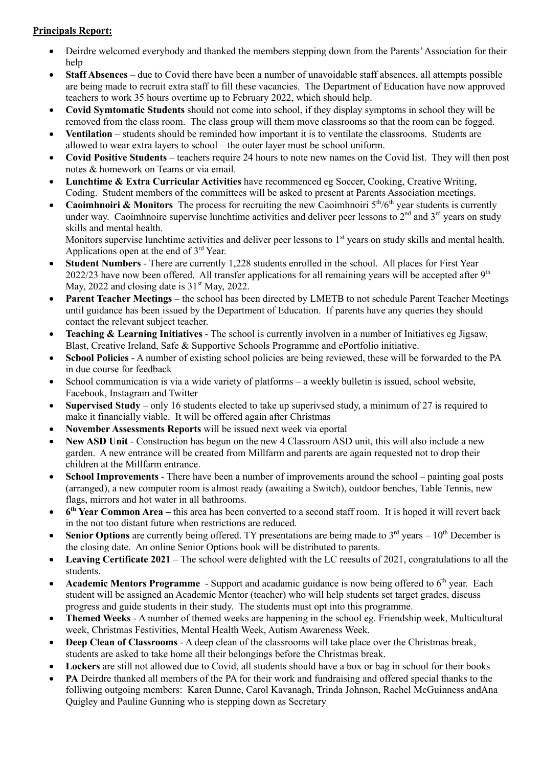# **Principals Report:**

- Deirdre welcomed everybody and thanked the members stepping down from the Parents'Association for their help
- **Staff Absences** due to Covid there have been a number of unavoidable staff absences, all attempts possible are being made to recruit extra staff to fill these vacancies. The Department of Education have now approved teachers to work 35 hours overtime up to February 2022, which should help.
- **Covid Symtomatic Students** should not come into school, if they display symptoms in school they will be removed from the class room. The class group will them move classrooms so that the room can be fogged.
- **Ventilation**  students should be reminded how important it is to ventilate the classrooms. Students are allowed to wear extra layers to school – the outer layer must be school uniform.
- **Covid Positive Students**  teachers require 24 hours to note new names on the Covid list. They will then post notes & homework on Teams or via email.
- **Lunchtime & Extra Curricular Activities** have recommenced eg Soccer, Cooking, Creative Writing, Coding. Student members of the committees will be asked to present at Parents Association meetings.
- **Caoimhnoiri & Monitors** The process for recruiting the new Caoimhnoiri 5<sup>th</sup>/6<sup>th</sup> year students is currently under way. Caoimhnoire supervise lunchtime activities and deliver peer lessons to  $2<sup>nd</sup>$  and  $3<sup>rd</sup>$  years on study skills and mental health.

Monitors supervise lunchtime activities and deliver peer lessons to 1<sup>st</sup> years on study skills and mental health. Applications open at the end of  $3<sup>rd</sup>$  Year.

- **Student Numbers** There are currently 1,228 students enrolled in the school. All places for First Year 2022/23 have now been offered. All transfer applications for all remaining years will be accepted after  $9<sup>th</sup>$ May, 2022 and closing date is  $31<sup>st</sup>$  May, 2022.
- **Parent Teacher Meetings** the school has been directed by LMETB to not schedule Parent Teacher Meetings until guidance has been issued by the Department of Education. If parents have any queries they should contact the relevant subject teacher.
- **Teaching & Learning Initiatives** The school is currently involven in a number of Initiatives eg Jigsaw, Blast, Creative Ireland, Safe & Supportive Schools Programme and ePortfolio initiative.
- **Scbool Policies** A number of existing school policies are being reviewed, these will be forwarded to the PA in due course for feedback
- School communication is via a wide variety of platforms a weekly bulletin is issued, school website, Facebook, Instagram and Twitter
- **Supervised Study** only 16 students elected to take up superivsed study, a minimum of 27 is required to make it financially viable. It will be offered again after Christmas
- **November Assessments Reports** will be issued next week via eportal
- **New ASD Unit** Construction has begun on the new 4 Classroom ASD unit, this will also include a new garden. A new entrance will be created from Millfarm and parents are again requested not to drop their children at the Millfarm entrance.
- **School Improvements** There have been a number of improvements around the school painting goal posts (arranged), a new computer room is almost ready (awaiting a Switch), outdoor benches, Table Tennis, new flags, mirrors and hot water in all bathrooms.
- **6th Year Common Area –** this area has been converted to a second staff room. It is hoped it will revert back in the not too distant future when restrictions are reduced.
- **Senior Options** are currently being offered. TY presentations are being made to  $3<sup>rd</sup>$  years  $10<sup>th</sup>$  December is the closing date. An online Senior Options book will be distributed to parents.
- **Leaving Certificate 2021** The school were delighted with the LC reesults of 2021, congratulations to all the students.
- **Academic Mentors Programme** Support and acadamic guidance is now being offered to 6<sup>th</sup> year. Each student will be assigned an Academic Mentor (teacher) who will help students set target grades, discuss progress and guide students in their study. The students must opt into this programme.
- **Themed Weeks** A number of themed weeks are happening in the school eg. Friendship week, Multicultural week, Christmas Festivities, Mental Health Week, Autism Awareness Week.
- **Deep Clean of Classrooms** A deep clean of the classrooms will take place over the Christmas break, students are asked to take home all their belongings before the Christmas break.
- Lockers are still not allowed due to Covid, all students should have a box or bag in school for their books
- **PA** Deirdre thanked all members of the PA for their work and fundraising and offered special thanks to the folliwing outgoing members: Karen Dunne, Carol Kavanagh, Trinda Johnson, Rachel McGuinness andAna Quigley and Pauline Gunning who is stepping down as Secretary